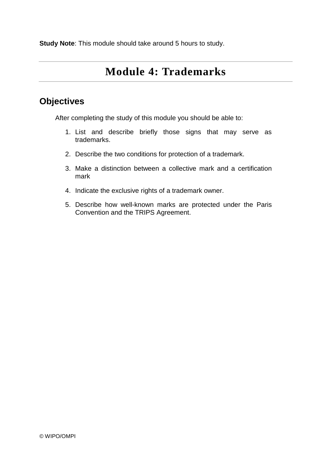**Study Note**: This module should take around 5 hours to study.

# **Module 4: Trademarks**

## **Objectives**

After completing the study of this module you should be able to:

- 1. List and describe briefly those signs that may serve as trademarks.
- 2. Describe the two conditions for protection of a trademark.
- 3. Make a distinction between a collective mark and a certification mark
- 4. Indicate the exclusive rights of a trademark owner.
- 5. Describe how well-known marks are protected under the Paris Convention and the TRIPS Agreement.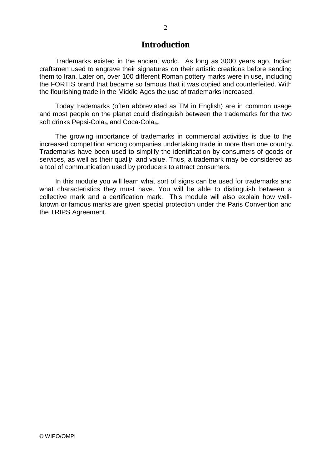### **Introduction**

Trademarks existed in the ancient world. As long as 3000 years ago, Indian craftsmen used to engrave their signatures on their artistic creations before sending them to Iran. Later on, over 100 different Roman pottery marks were in use, including the FORTIS brand that became so famous that it was copied and counterfeited. With the flourishing trade in the Middle Ages the use of trademarks increased.

Today trademarks (often abbreviated as TM in English) are in common usage and most people on the planet could distinguish between the trademarks for the two soft drinks Pepsi-Cola and Coca-Cola.

The growing importance of trademarks in commercial activities is due to the increased competition among companies undertaking trade in more than one country. Trademarks have been used to simplify the identification by consumers of goods or services, as well as their quality and value. Thus, a trademark may be considered as a tool of communication used by producers to attract consumers.

In this module you will learn what sort of signs can be used for trademarks and what characteristics they must have. You will be able to distinguish between a collective mark and a certification mark. This module will also explain how wellknown or famous marks are given special protection under the Paris Convention and the TRIPS Agreement.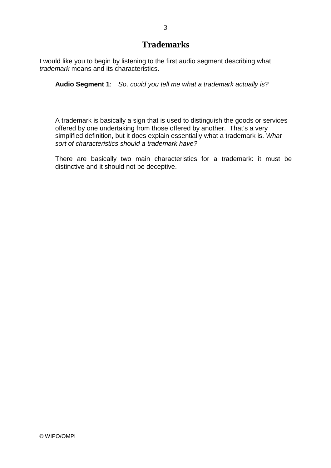## **Trademarks**

I would like you to begin by listening to the first audio segment describing what trademark means and its characteristics.

**Audio Segment 1**: So, could you tell me what a trademark actually is?

A trademark is basically a sign that is used to distinguish the goods or services offered by one undertaking from those offered by another. That's a very simplified definition, but it does explain essentially what a trademark is. What sort of characteristics should a trademark have?

There are basically two main characteristics for a trademark: it must be distinctive and it should not be deceptive.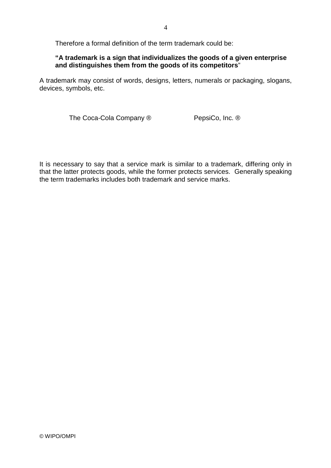Therefore a formal definition of the term trademark could be:

### **"A trademark is a sign that individualizes the goods of a given enterprise and distinguishes them from the goods of its competitors**"

A trademark may consist of words, designs, letters, numerals or packaging, slogans, devices, symbols, etc.

The Coca-Cola Company ® PepsiCo, Inc. ®

It is necessary to say that a service mark is similar to a trademark, differing only in that the latter protects goods, while the former protects services. Generally speaking the term trademarks includes both trademark and service marks.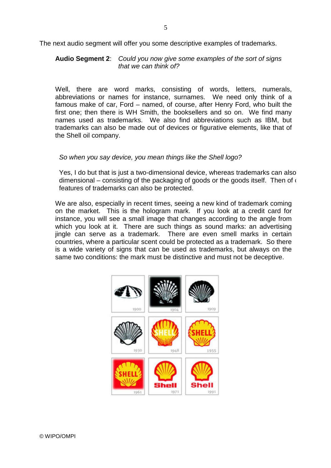The next audio segment will offer you some descriptive examples of trademarks.

### **Audio Segment 2**: Could you now give some examples of the sort of signs that we can think of?

Well, there are word marks, consisting of words, letters, numerals, abbreviations or names for instance, surnames. We need only think of a famous make of car, Ford – named, of course, after Henry Ford, who built the first one; then there is WH Smith, the booksellers and so on. We find many names used as trademarks. We also find abbreviations such as IBM, but trademarks can also be made out of devices or figurative elements, like that of the Shell oil company.

### So when you say device, you mean things like the Shell logo?

Yes, I do but that is just a two-dimensional device, whereas trademarks can also dimensional – consisting of the packaging of goods or the goods itself. Then of  $\epsilon$ features of trademarks can also be protected.

We are also, especially in recent times, seeing a new kind of trademark coming on the market. This is the hologram mark. If you look at a credit card for instance, you will see a small image that changes according to the angle from which you look at it. There are such things as sound marks: an advertising jingle can serve as a trademark. There are even smell marks in certain countries, where a particular scent could be protected as a trademark. So there is a wide variety of signs that can be used as trademarks, but always on the same two conditions: the mark must be distinctive and must not be deceptive.

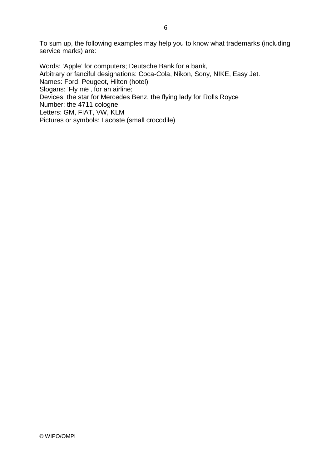To sum up, the following examples may help you to know what trademarks (including service marks) are:

Words: 'Apple' for computers; Deutsche Bank for a bank, Arbitrary or fanciful designations: Coca-Cola, Nikon, Sony, NIKE, Easy Jet. Names: Ford, Peugeot, Hilton (hotel) Slogans: 'Fly me, for an airline; Devices: the star for Mercedes Benz, the flying lady for Rolls Royce Number: the 4711 cologne Letters: GM, FIAT, VW, KLM Pictures or symbols: Lacoste (small crocodile)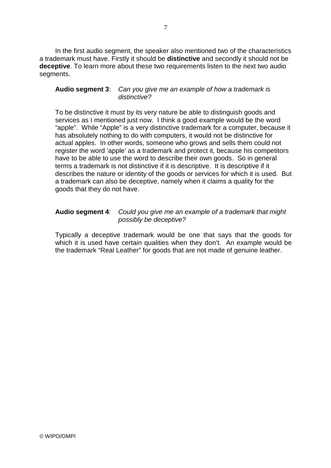In the first audio segment, the speaker also mentioned two of the characteristics a trademark must have. Firstly it should be **distinctive** and secondly it should not be **deceptive**. To learn more about these two requirements listen to the next two audio segments.

### **Audio segment 3**: Can you give me an example of how a trademark is distinctive?

To be distinctive it must by its very nature be able to distinguish goods and services as I mentioned just now. I think a good example would be the word "apple". While "Apple" is a very distinctive trademark for a computer, because it has absolutely nothing to do with computers, it would not be distinctive for actual apples. In other words, someone who grows and sells them could not register the word 'apple' as a trademark and protect it, because his competitors have to be able to use the word to describe their own goods. So in general terms a trademark is not distinctive if it is descriptive. It is descriptive if it describes the nature or identity of the goods or services for which it is used. But a trademark can also be deceptive, namely when it claims a quality for the goods that they do not have.

### **Audio segment 4**: Could you give me an example of a trademark that might possibly be deceptive?

Typically a deceptive trademark would be one that says that the goods for which it is used have certain qualities when they don't. An example would be the trademark "Real Leather" for goods that are not made of genuine leather.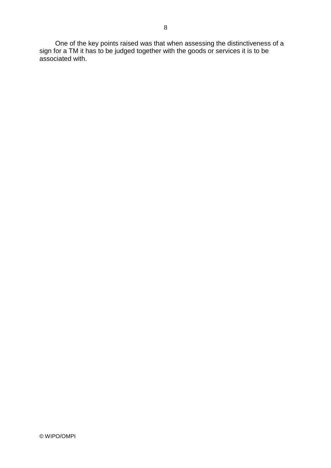One of the key points raised was that when assessing the distinctiveness of a sign for a TM it has to be judged together with the goods or services it is to be associated with.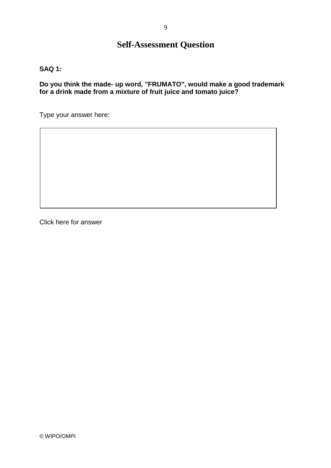## **Self-Assessment Question**

**SAQ 1:**

**Do you think the made- up word, "FRUMATO", would make a good trademark for a drink made from a mixture of fruit juice and tomato juice?**

Type your answer here:

Click here for answer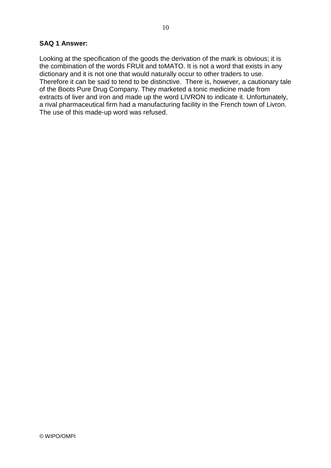#### **SAQ 1 Answer:**

Looking at the specification of the goods the derivation of the mark is obvious; it is the combination of the words FRUit and toMATO. It is not a word that exists in any dictionary and it is not one that would naturally occur to other traders to use. Therefore it can be said to tend to be distinctive. There is, however, a cautionary tale of the Boots Pure Drug Company. They marketed a tonic medicine made from extracts of liver and iron and made up the word LIVRON to indicate it. Unfortunately, a rival pharmaceutical firm had a manufacturing facility in the French town of Livron. The use of this made-up word was refused.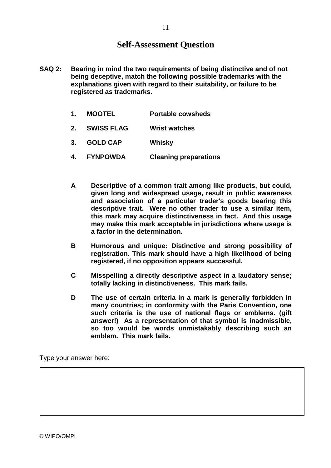## **Self-Assessment Question**

- **SAQ 2: Bearing in mind the two requirements of being distinctive and of not being deceptive, match the following possible trademarks with the explanations given with regard to their suitability, or failure to be registered as trademarks.**
	- **1. MOOTEL Portable cowsheds**
	- **2. SWISS FLAG Wrist watches**
	- **3. GOLD CAP Whisky**
	- **4. FYNPOWDA Cleaning preparations**
	- **A Descriptive of a common trait among like products, but could, given long and widespread usage, result in public awareness and association of a particular trader's goods bearing this descriptive trait. Were no other trader to use a similar item, this mark may acquire distinctiveness in fact. And this usage may make this mark acceptable in jurisdictions where usage is a factor in the determination.**
	- **B Humorous and unique: Distinctive and strong possibility of registration. This mark should have a high likelihood of being registered, if no opposition appears successful.**
	- **C Misspelling a directly descriptive aspect in a laudatory sense; totally lacking in distinctiveness. This mark fails.**
	- **D The use of certain criteria in a mark is generally forbidden in many countries; in conformity with the Paris Convention, one such criteria is the use of national flags or emblems. (gift answer!) As a representation of that symbol is inadmissible, so too would be words unmistakably describing such an emblem. This mark fails.**

Type your answer here: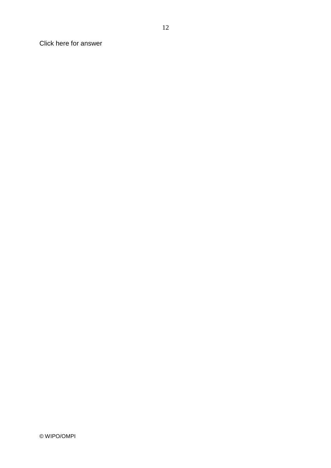Click here for answer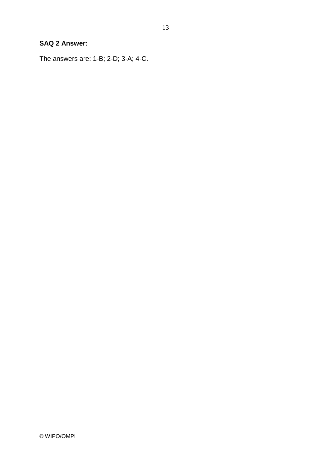### **SAQ 2 Answer:**

The answers are: 1-B; 2-D; 3-A; 4-C.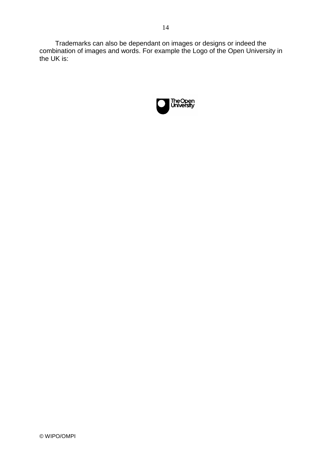Trademarks can also be dependant on images or designs or indeed the combination of images and words. For example the Logo of the Open University in the UK is:

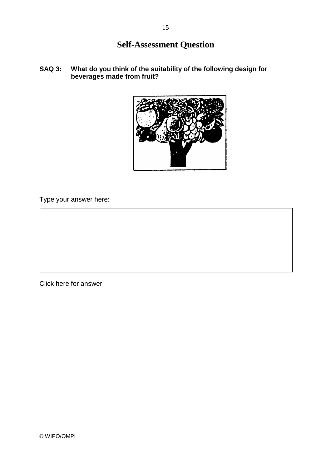## **Self-Assessment Question**

**SAQ 3: What do you think of the suitability of the following design for beverages made from fruit?**



Type your answer here:

Click here for answer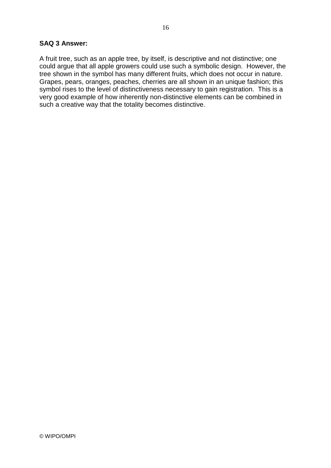### **SAQ 3 Answer:**

A fruit tree, such as an apple tree, by itself, is descriptive and not distinctive; one could argue that all apple growers could use such a symbolic design. However, the tree shown in the symbol has many different fruits, which does not occur in nature. Grapes, pears, oranges, peaches, cherries are all shown in an unique fashion; this symbol rises to the level of distinctiveness necessary to gain registration. This is a very good example of how inherently non-distinctive elements can be combined in such a creative way that the totality becomes distinctive.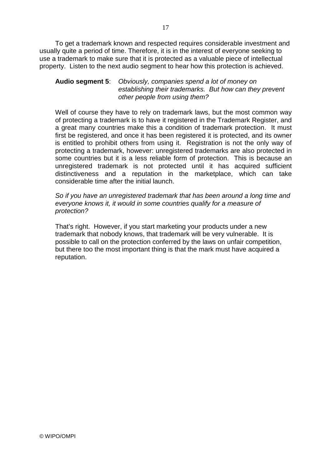To get a trademark known and respected requires considerable investment and usually quite a period of time. Therefore, it is in the interest of everyone seeking to use a trademark to make sure that it is protected as a valuable piece of intellectual property. Listen to the next audio segment to hear how this protection is achieved.

### **Audio segment 5**: Obviously, companies spend a lot of money on establishing their trademarks. But how can they prevent other people from using them?

Well of course they have to rely on trademark laws, but the most common way of protecting a trademark is to have it registered in the Trademark Register, and a great many countries make this a condition of trademark protection. It must first be registered, and once it has been registered it is protected, and its owner is entitled to prohibit others from using it. Registration is not the only way of protecting a trademark, however: unregistered trademarks are also protected in some countries but it is a less reliable form of protection. This is because an unregistered trademark is not protected until it has acquired sufficient distinctiveness and a reputation in the marketplace, which can take considerable time after the initial launch.

### So if you have an unregistered trademark that has been around a long time and everyone knows it, it would in some countries qualify for a measure of protection?

That's right. However, if you start marketing your products under a new trademark that nobody knows, that trademark will be very vulnerable. It is possible to call on the protection conferred by the laws on unfair competition, but there too the most important thing is that the mark must have acquired a reputation.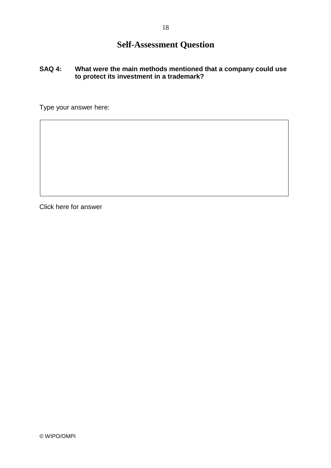## **Self-Assessment Question**

### **SAQ 4: What were the main methods mentioned that a company could use to protect its investment in a trademark?**

Type your answer here:

Click here for answer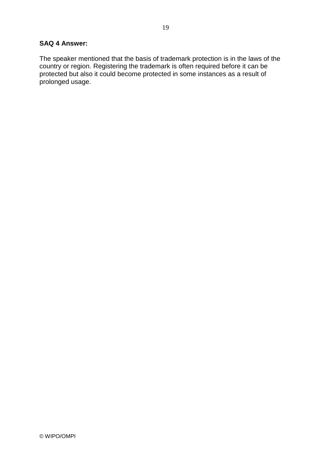### **SAQ 4 Answer:**

The speaker mentioned that the basis of trademark protection is in the laws of the country or region. Registering the trademark is often required before it can be protected but also it could become protected in some instances as a result of prolonged usage.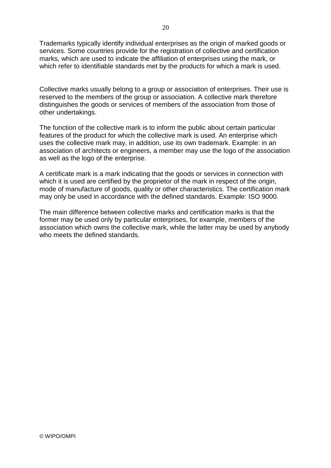Trademarks typically identify individual enterprises as the origin of marked goods or services. Some countries provide for the registration of collective and certification marks, which are used to indicate the affiliation of enterprises using the mark, or which refer to identifiable standards met by the products for which a mark is used.

Collective marks usually belong to a group or association of enterprises. Their use is reserved to the members of the group or association. A collective mark therefore distinguishes the goods or services of members of the association from those of other undertakings.

The function of the collective mark is to inform the public about certain particular features of the product for which the collective mark is used. An enterprise which uses the collective mark may, in addition, use its own trademark. Example: in an association of architects or engineers, a member may use the logo of the association as well as the logo of the enterprise.

A certificate mark is a mark indicating that the goods or services in connection with which it is used are certified by the proprietor of the mark in respect of the origin, mode of manufacture of goods, quality or other characteristics. The certification mark may only be used in accordance with the defined standards. Example: ISO 9000.

The main difference between collective marks and certification marks is that the former may be used only by particular enterprises, for example, members of the association which owns the collective mark, while the latter may be used by anybody who meets the defined standards.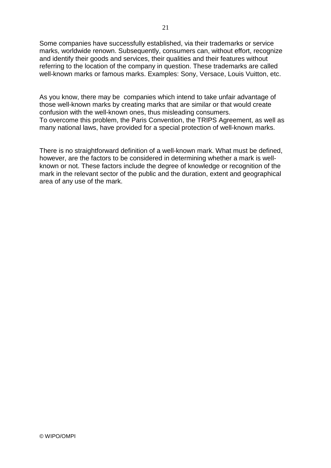Some companies have successfully established, via their trademarks or service marks, worldwide renown. Subsequently, consumers can, without effort, recognize and identify their goods and services, their qualities and their features without referring to the location of the company in question. These trademarks are called well-known marks or famous marks. Examples: Sony, Versace, Louis Vuitton, etc.

As you know, there may be companies which intend to take unfair advantage of those well-known marks by creating marks that are similar or that would create confusion with the well-known ones, thus misleading consumers. To overcome this problem, the Paris Convention, the TRIPS Agreement, as well as many national laws, have provided for a special protection of well-known marks.

There is no straightforward definition of a well-known mark. What must be defined, however, are the factors to be considered in determining whether a mark is wellknown or not. These factors include the degree of knowledge or recognition of the mark in the relevant sector of the public and the duration, extent and geographical area of any use of the mark.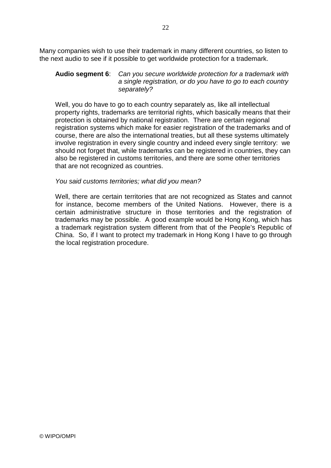Many companies wish to use their trademark in many different countries, so listen to the next audio to see if it possible to get worldwide protection for a trademark.

### **Audio segment 6**: Can you secure worldwide protection for a trademark with a single registration, or do you have to go to each country separately?

Well, you do have to go to each country separately as, like all intellectual property rights, trademarks are territorial rights, which basically means that their protection is obtained by national registration. There are certain regional registration systems which make for easier registration of the trademarks and of course, there are also the international treaties, but all these systems ultimately involve registration in every single country and indeed every single territory: we should not forget that, while trademarks can be registered in countries, they can also be registered in customs territories, and there are some other territories that are not recognized as countries.

### You said customs territories; what did you mean?

Well, there are certain territories that are not recognized as States and cannot for instance, become members of the United Nations. However, there is a certain administrative structure in those territories and the registration of trademarks may be possible. A good example would be Hong Kong, which has a trademark registration system different from that of the People's Republic of China. So, if I want to protect my trademark in Hong Kong I have to go through the local registration procedure.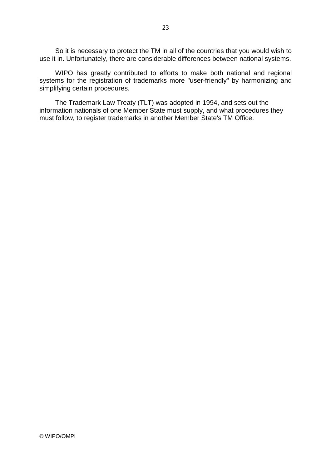So it is necessary to protect the TM in all of the countries that you would wish to use it in. Unfortunately, there are considerable differences between national systems.

WIPO has greatly contributed to efforts to make both national and regional systems for the registration of trademarks more "user-friendly" by harmonizing and simplifying certain procedures.

The Trademark Law Treaty (TLT) was adopted in 1994, and sets out the information nationals of one Member State must supply, and what procedures they must follow, to register trademarks in another Member State's TM Office.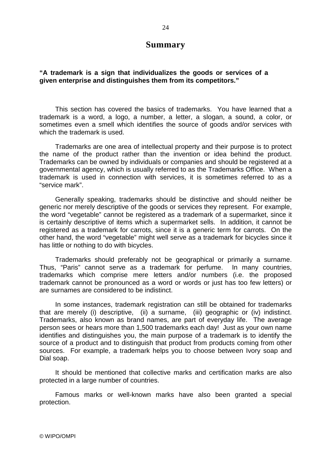### **Summary**

### **"A trademark is a sign that individualizes the goods or services of a given enterprise and distinguishes them from its competitors."**

This section has covered the basics of trademarks. You have learned that a trademark is a word, a logo, a number, a letter, a slogan, a sound, a color, or sometimes even a smell which identifies the source of goods and/or services with which the trademark is used.

Trademarks are one area of intellectual property and their purpose is to protect the name of the product rather than the invention or idea behind the product. Trademarks can be owned by individuals or companies and should be registered at a governmental agency, which is usually referred to as the Trademarks Office. When a trademark is used in connection with services, it is sometimes referred to as a "service mark".

Generally speaking, trademarks should be distinctive and should neither be generic nor merely descriptive of the goods or services they represent. For example, the word "vegetable" cannot be registered as a trademark of a supermarket, since it is certainly descriptive of items which a supermarket sells. In addition, it cannot be registered as a trademark for carrots, since it is a generic term for carrots. On the other hand, the word "vegetable" might well serve as a trademark for bicycles since it has little or nothing to do with bicycles.

Trademarks should preferably not be geographical or primarily a surname. Thus, "Paris" cannot serve as a trademark for perfume. In many countries, trademarks which comprise mere letters and/or numbers (i.e. the proposed trademark cannot be pronounced as a word or words or just has too few letters) or are surnames are considered to be indistinct.

In some instances, trademark registration can still be obtained for trademarks that are merely (i) descriptive, (ii) a surname, (iii) geographic or (iv) indistinct. Trademarks, also known as brand names, are part of everyday life. The average person sees or hears more than 1,500 trademarks each day! Just as your own name identifies and distinguishes you, the main purpose of a trademark is to identify the source of a product and to distinguish that product from products coming from other sources. For example, a trademark helps you to choose between Ivory soap and Dial soap.

It should be mentioned that collective marks and certification marks are also protected in a large number of countries.

Famous marks or well-known marks have also been granted a special protection.